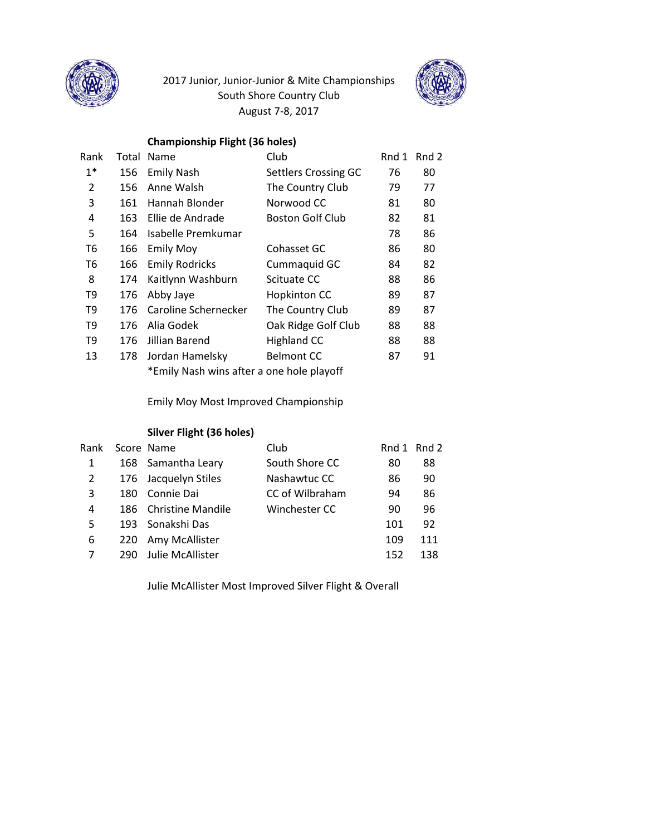

# 2017 Junior, Junior-Junior & Mite Championships South Shore Country Club August 7-8, 2017



## **Championship Flight (36 holes)**

| Rank           | Total                                     | Name                  | Club                        | Rnd 1 | Rnd 2 |
|----------------|-------------------------------------------|-----------------------|-----------------------------|-------|-------|
| $1*$           | 156                                       | <b>Emily Nash</b>     | <b>Settlers Crossing GC</b> | 76    | 80    |
| 2              | 156                                       | Anne Walsh            | The Country Club            | 79    | 77    |
| 3              | 161                                       | Hannah Blonder        | Norwood CC                  | 81    | 80    |
| 4              | 163                                       | Ellie de Andrade      | <b>Boston Golf Club</b>     | 82    | 81    |
| 5              | 164                                       | Isabelle Premkumar    |                             | 78    | 86    |
| T <sub>6</sub> | 166                                       | <b>Emily Moy</b>      | Cohasset GC                 | 86    | 80    |
| T <sub>6</sub> | 166                                       | <b>Emily Rodricks</b> | Cummaquid GC                | 84    | 82    |
| 8              | 174                                       | Kaitlynn Washburn     | Scituate CC                 | 88    | 86    |
| T9             | 176                                       | Abby Jaye             | Hopkinton CC                | 89    | 87    |
| T <sub>9</sub> | 176                                       | Caroline Schernecker  | The Country Club            | 89    | 87    |
| T <sub>9</sub> | 176                                       | Alia Godek            | Oak Ridge Golf Club         | 88    | 88    |
| T <sub>9</sub> | 176                                       | Jillian Barend        | <b>Highland CC</b>          | 88    | 88    |
| 13             | 178                                       | Jordan Hamelsky       | <b>Belmont CC</b>           | 87    | 91    |
|                | *Emily Nash wins after a one hole playoff |                       |                             |       |       |

Emily Moy Most Improved Championship

#### **Silver Flight (36 holes)**

|     |                  | Club                                                                                                                    |     | Rnd 1 Rnd 2 |
|-----|------------------|-------------------------------------------------------------------------------------------------------------------------|-----|-------------|
|     |                  | South Shore CC                                                                                                          | 80  | 88          |
|     |                  | Nashawtuc CC                                                                                                            | 86  | 90          |
| 180 | Connie Dai       | CC of Wilbraham                                                                                                         | 94  | 86          |
|     |                  | Winchester CC                                                                                                           | 90  | 96          |
|     |                  |                                                                                                                         | 101 | 92          |
| 220 |                  |                                                                                                                         | 109 | 111         |
| 290 | Julie McAllister |                                                                                                                         | 152 | 138         |
|     |                  | Score Name<br>168 Samantha Leary<br>176 Jacquelyn Stiles<br>186 Christine Mandile<br>193 Sonakshi Das<br>Amy McAllister |     |             |

Julie McAllister Most Improved Silver Flight & Overall